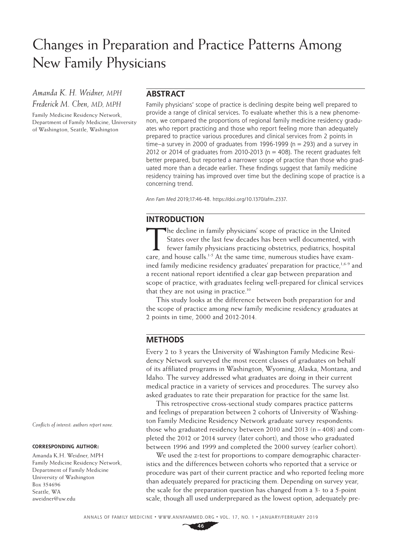# Changes in Preparation and Practice Patterns Among New Family Physicians

*Amanda K. H. Weidner, MPH Frederick M. Chen, MD, MPH*

Family Medicine Residency Network, Department of Family Medicine, University of Washington, Seattle, Washington

## **ABSTRACT**

Family physicians' scope of practice is declining despite being well prepared to provide a range of clinical services. To evaluate whether this is a new phenomenon, we compared the proportions of regional family medicine residency graduates who report practicing and those who report feeling more than adequately prepared to practice various procedures and clinical services from 2 points in time–a survey in 2000 of graduates from 1996-1999 ( $n=293$ ) and a survey in 2012 or 2014 of graduates from 2010-2013 ( $n = 408$ ). The recent graduates felt better prepared, but reported a narrower scope of practice than those who graduated more than a decade earlier. These findings suggest that family medicine residency training has improved over time but the declining scope of practice is a concerning trend.

*Ann Fam Med* 2019;17:46-48.<https://doi.org/10.1370/afm.2337>.

## **INTRODUCTION**

The decline in family physicians' scope of practice in the United<br>
States over the last few decades has been well documented, with<br>
fewer family physicians practicing obstetrics, pediatrics, hospital<br>
and house sells is a States over the last few decades has been well documented, with care, and house calls.<sup>1-5</sup> At the same time, numerous studies have examined family medicine residency graduates' preparation for practice,<sup>1,6-9</sup> and a recent national report identified a clear gap between preparation and scope of practice, with graduates feeling well-prepared for clinical services that they are not using in practice.<sup>10</sup>

This study looks at the difference between both preparation for and the scope of practice among new family medicine residency graduates at 2 points in time, 2000 and 2012-2014.

## **METHODS**

Every 2 to 3 years the University of Washington Family Medicine Residency Network surveyed the most recent classes of graduates on behalf of its affiliated programs in Washington, Wyoming, Alaska, Montana, and Idaho. The survey addressed what graduates are doing in their current medical practice in a variety of services and procedures. The survey also asked graduates to rate their preparation for practice for the same list.

This retrospective cross-sectional study compares practice patterns and feelings of preparation between 2 cohorts of University of Washington Family Medicine Residency Network graduate survey respondents: those who graduated residency between 2010 and 2013 ( $n = 408$ ) and completed the 2012 or 2014 survey (later cohort), and those who graduated between 1996 and 1999 and completed the 2000 survey (earlier cohort).

We used the z-test for proportions to compare demographic characteristics and the differences between cohorts who reported that a service or procedure was part of their current practice and who reported feeling more than adequately prepared for practicing them. Depending on survey year, the scale for the preparation question has changed from a 3- to a 5-point scale, though all used underprepared as the lowest option, adequately pre-

*Conflicts of interest: authors report none.*

#### **CORRESPONDING AUTHOR:**

Amanda K.H. Weidner, MPH Family Medicine Residency Network, Department of Family Medicine University of Washington Box 354696 Seattle, WA [aweidner@uw.edu](mailto:aweidner@uw.edu)

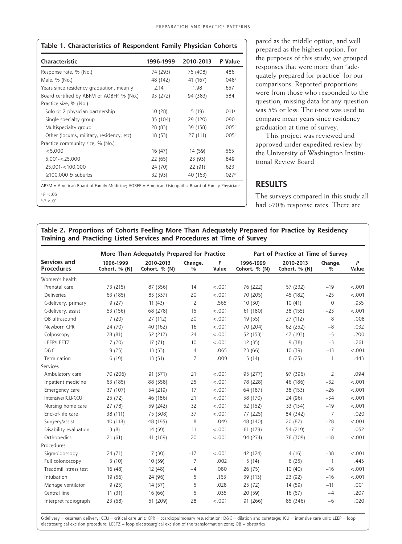| Characteristic                            | 1996-1999 | 2010-2013 | P Value           |  |
|-------------------------------------------|-----------|-----------|-------------------|--|
| Response rate, % (No.)                    | 74 (293)  | 76 (408)  | .486              |  |
| Male, % (No.)                             | 48 (142)  | 41 (167)  | .048a             |  |
| Years since residency graduation, mean y  | 2.14      | 1.98      | .657              |  |
| Board certified by ABFM or AOBFP, % (No.) | 93 (272)  | 94 (383)  | .584              |  |
| Practice size, % (No.)                    |           |           |                   |  |
| Solo or 2 physician partnership           | 10(28)    | 5(19)     | .011a             |  |
| Single specialty group                    | 35 (104)  | 29 (120)  | .090              |  |
| Multispecialty group                      | 28 (83)   | 39 (158)  | .005 <sup>b</sup> |  |
| Other (locums, military, residency, etc)  | 18 (53)   | 27 (111)  | .005 <sup>b</sup> |  |
| Practice community size, % (No.)          |           |           |                   |  |
| < 5,000                                   | 16 (47)   | 14 (59)   | .565              |  |
| $5,001 - 25,000$                          | 22 (65)   | 23 (93)   | .849              |  |
| 25,001-<100,000                           | 24 (70)   | 22 (91)   | .623              |  |
| $\geq$ 100,000 & suburbs                  | 32 (93)   | 40 (163)  | .027a             |  |

<sup>b</sup>*P* <.01

pared as the middle option, and well prepared as the highest option. For the purposes of this study, we grouped responses that were more than "adequately prepared for practice" for our comparisons. Reported proportions were from those who responded to the question; missing data for any question was 5% or less. The *t*-test was used to compare mean years since residency graduation at time of survey.

This project was reviewed and approved under expedited review by the University of Washington Institutional Review Board.

## **RESULTS**

The surveys compared in this study all had >70% response rates. There are

**Table 2. Proportions of Cohorts Feeling More Than Adequately Prepared for Practice by Residency Training and Practicing Listed Services and Procedures at Time of Survey**

|                                   | More Than Adequately Prepared for Practice |                            |                          |            | Part of Practice at Time of Survey |                            |                          |            |
|-----------------------------------|--------------------------------------------|----------------------------|--------------------------|------------|------------------------------------|----------------------------|--------------------------|------------|
| Services and<br><b>Procedures</b> | 1996-1999<br>Cohort, % (N)                 | 2010-2013<br>Cohort, % (N) | Change,<br>$\frac{0}{0}$ | P<br>Value | 1996-1999<br>Cohort, % (N)         | 2010-2013<br>Cohort, % (N) | Change,<br>$\frac{0}{0}$ | P<br>Value |
| Women's health                    |                                            |                            |                          |            |                                    |                            |                          |            |
| Prenatal care                     | 73 (215)                                   | 87 (356)                   | 14                       | < .001     | 76 (222)                           | 57 (232)                   | $-19$                    | < .001     |
| <b>Deliveries</b>                 | 63 (185)                                   | 83 (337)                   | 20                       | < .001     | 70 (205)                           | 45 (182)                   | $-25$                    | < .001     |
| C-delivery, primary               | 9(27)                                      | 11(43)                     | $\overline{2}$           | .565       | 10(30)                             | 10(41)                     | $\circ$                  | .935       |
| C-delivery, assist                | 53 (156)                                   | 68 (278)                   | 15                       | < .001     | 61 (180)                           | 38 (155)                   | $-23$                    | < .001     |
| OB ultrasound                     | 7(20)                                      | 27 (112)                   | 20                       | < .001     | 19 (55)                            | 27 (112)                   | 8                        | .008       |
| Newborn CPR                       | 24 (70)                                    | 40 (162)                   | 16                       | < .001     | 70 (204)                           | 62 (252)                   | $-8$                     | .032       |
| Colposcopy                        | 28 (81)                                    | 52 (212)                   | 24                       | < .001     | 52 (153)                           | 47 (193)                   | $-5$                     | .200       |
| LEEP/LEETZ                        | 7(20)                                      | 17(71)                     | 10                       | < .001     | 12(35)                             | 9(38)                      | $-3$                     | .261       |
| D&C                               | 9(25)                                      | 13 (53)                    | $\overline{4}$           | .065       | 23 (66)                            | 10 (39)                    | $-13$                    | < .001     |
| Termination                       | 6(19)                                      | 13(51)                     | $\overline{7}$           | .009       | 5(14)                              | 6(25)                      | $\mathbf{1}$             | .443       |
| Services                          |                                            |                            |                          |            |                                    |                            |                          |            |
| Ambulatory care                   | 70 (206)                                   | 91 (371)                   | 21                       | < .001     | 95 (277)                           | 97 (396)                   | $\overline{2}$           | .094       |
| Inpatient medicine                | 63 (185)                                   | 88 (358)                   | 25                       | < .001     | 78 (228)                           | 46 (186)                   | $-32$                    | < .001     |
| Emergency care                    | 37 (107)                                   | 54 (219)                   | 17                       | < .001     | 64 (187)                           | 38 (153)                   | $-26$                    | < .001     |
| Intensive/ICU-CCU                 | 25 (72)                                    | 46 (186)                   | 21                       | < .001     | 58 (170)                           | 24 (96)                    | $-34$                    | < .001     |
| Nursing home care                 | 27 (78)                                    | 59 (242)                   | 32                       | < .001     | 52 (152)                           | 33 (134)                   | $-19$                    | < .001     |
| End-of-life care                  | 38 (111)                                   | 75 (308)                   | 37                       | < .001     | 77 (225)                           | 84 (342)                   | $\overline{7}$           | .020       |
| Surgery/assist                    | 40 (118)                                   | 48 (195)                   | 8                        | .049       | 48 (140)                           | 20 (82)                    | $-28$                    | < .001     |
| Disability evaluation             | 3(8)                                       | 14 (59)                    | 11                       | < .001     | 61 (179)                           | 54 (219)                   | $-7$                     | .052       |
| Orthopedics                       | 21(61)                                     | 41 (169)                   | 20                       | < .001     | 94 (274)                           | 76 (309)                   | $-18$                    | < .001     |
| Procedures                        |                                            |                            |                          |            |                                    |                            |                          |            |
| Sigmoidoscopy                     | 24 (71)                                    | 7(30)                      | $-17$                    | < .001     | 42 (124)                           | 4(16)                      | $-38$                    | < .001     |
| Full colonoscopy                  | 3(10)                                      | 10 (39)                    | $\overline{7}$           | .002       | 5(14)                              | 6(25)                      | $\mathbf{1}$             | .443       |
| Treadmill stress test             | 16 (48)                                    | 12 (48)                    | $-4$                     | .080       | 26 (75)                            | 10(40)                     | $-16$                    | < .001     |
| Intubation                        | 19 (56)                                    | 24 (96)                    | 5                        | .163       | 39 (113)                           | 23 (92)                    | $-16$                    | < .001     |
| Manage ventilator                 | 9(25)                                      | 14 (57)                    | 5                        | .028       | 25 (72)                            | 14 (59)                    | $-11$                    | .001       |
| Central line                      | 11(31)                                     | 16 (66)                    | 5                        | .035       | 20 (59)                            | 16 (67)                    | -4                       | .207       |
| Interpret radiograph              | 23 (68)                                    | 51 (209)                   | 28                       | < .001     | 91 (266)                           | 85 (346)                   | $-6$                     | .020       |

C-delivery=cesarean delivery; CCU=critical care unit; CPR=ccardiopulmonary resuscitation; D&C=dilation and curettage; ICU=intensive care unit; LEEP=loop electrosurgical excision procedure; LEETZ = loop electrosurgical excision of the transformation zone; OB = obstetrics